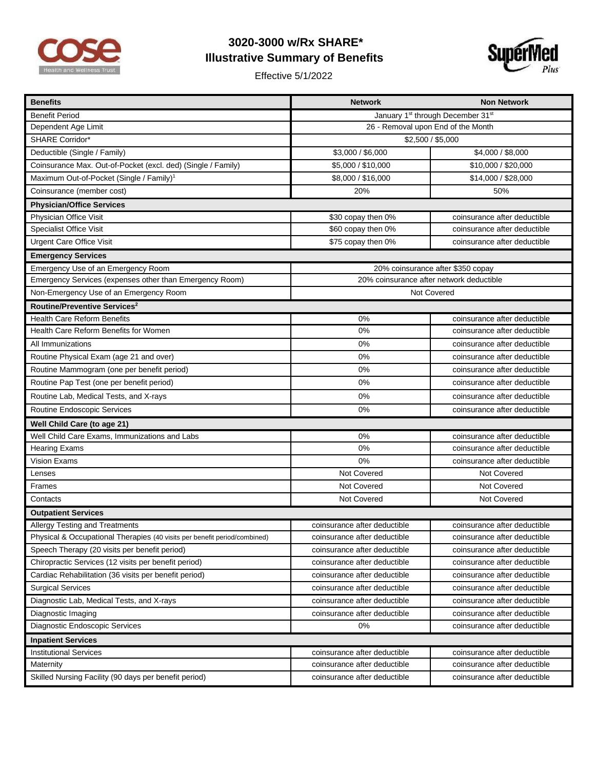

## **3020-3000 w/Rx SHARE\* Illustrative Summary of Benefits**

Effective 5/1/2022



| <b>Benefits</b>                                                           | <b>Network</b>                           | <b>Non Network</b>           |  |
|---------------------------------------------------------------------------|------------------------------------------|------------------------------|--|
| <b>Benefit Period</b>                                                     | January 1st through December 31st        |                              |  |
| Dependent Age Limit                                                       | 26 - Removal upon End of the Month       |                              |  |
| <b>SHARE Corridor*</b>                                                    | \$2,500 / \$5,000                        |                              |  |
| Deductible (Single / Family)                                              | \$3,000 / \$6,000                        | \$4,000 / \$8,000            |  |
| Coinsurance Max. Out-of-Pocket (excl. ded) (Single / Family)              | \$5,000 / \$10,000                       | \$10,000 / \$20,000          |  |
| Maximum Out-of-Pocket (Single / Family) <sup>1</sup>                      | \$8,000 / \$16,000                       | \$14,000 / \$28,000          |  |
| Coinsurance (member cost)                                                 | 20%                                      | 50%                          |  |
| <b>Physician/Office Services</b>                                          |                                          |                              |  |
| Physician Office Visit                                                    | \$30 copay then 0%                       | coinsurance after deductible |  |
| <b>Specialist Office Visit</b>                                            | \$60 copay then 0%                       | coinsurance after deductible |  |
| <b>Urgent Care Office Visit</b>                                           | \$75 copay then 0%                       | coinsurance after deductible |  |
| <b>Emergency Services</b>                                                 |                                          |                              |  |
| Emergency Use of an Emergency Room                                        | 20% coinsurance after \$350 copay        |                              |  |
| Emergency Services (expenses other than Emergency Room)                   | 20% coinsurance after network deductible |                              |  |
| Non-Emergency Use of an Emergency Room                                    | Not Covered                              |                              |  |
| Routine/Preventive Services <sup>2</sup>                                  |                                          |                              |  |
| <b>Health Care Reform Benefits</b>                                        | 0%                                       | coinsurance after deductible |  |
| Health Care Reform Benefits for Women                                     | 0%                                       | coinsurance after deductible |  |
| All Immunizations                                                         | 0%                                       | coinsurance after deductible |  |
| Routine Physical Exam (age 21 and over)                                   | 0%                                       | coinsurance after deductible |  |
| Routine Mammogram (one per benefit period)                                | 0%                                       | coinsurance after deductible |  |
| Routine Pap Test (one per benefit period)                                 | 0%                                       | coinsurance after deductible |  |
| Routine Lab, Medical Tests, and X-rays                                    | 0%                                       | coinsurance after deductible |  |
| Routine Endoscopic Services                                               | 0%                                       | coinsurance after deductible |  |
| Well Child Care (to age 21)                                               |                                          |                              |  |
| Well Child Care Exams, Immunizations and Labs                             | 0%                                       | coinsurance after deductible |  |
| <b>Hearing Exams</b>                                                      | 0%                                       | coinsurance after deductible |  |
| Vision Exams                                                              | 0%                                       | coinsurance after deductible |  |
| Lenses                                                                    | Not Covered                              | Not Covered                  |  |
| Frames                                                                    | Not Covered                              | Not Covered                  |  |
| Contacts                                                                  | Not Covered                              | Not Covered                  |  |
| <b>Outpatient Services</b>                                                |                                          |                              |  |
| Allergy Testing and Treatments                                            | coinsurance after deductible             | coinsurance after deductible |  |
| Physical & Occupational Therapies (40 visits per benefit period/combined) | coinsurance after deductible             | coinsurance after deductible |  |
| Speech Therapy (20 visits per benefit period)                             | coinsurance after deductible             | coinsurance after deductible |  |
| Chiropractic Services (12 visits per benefit period)                      | coinsurance after deductible             | coinsurance after deductible |  |
| Cardiac Rehabilitation (36 visits per benefit period)                     | coinsurance after deductible             | coinsurance after deductible |  |
| <b>Surgical Services</b>                                                  | coinsurance after deductible             | coinsurance after deductible |  |
| Diagnostic Lab, Medical Tests, and X-rays                                 | coinsurance after deductible             | coinsurance after deductible |  |
| Diagnostic Imaging                                                        | coinsurance after deductible             | coinsurance after deductible |  |
| Diagnostic Endoscopic Services                                            | 0%                                       | coinsurance after deductible |  |
| <b>Inpatient Services</b>                                                 |                                          |                              |  |
| <b>Institutional Services</b>                                             | coinsurance after deductible             | coinsurance after deductible |  |
| Maternity                                                                 | coinsurance after deductible             | coinsurance after deductible |  |
| Skilled Nursing Facility (90 days per benefit period)                     | coinsurance after deductible             | coinsurance after deductible |  |